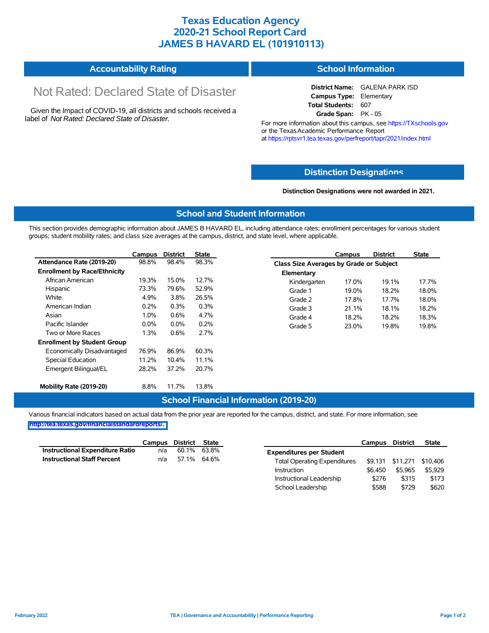## **Texas Education Agency 2020-21 School Report Card JAMES B HAVARD EL (101910113)**

#### **Accountability Rating School Information**

# Not Rated: Declared State of Disaster

Given the Impact of COVID-19, all districts and schools received a label of *Not Rated: Declared State of Disaster.*

**District Name:** GALENA PARK ISD **Campus Type:** Elementary **Total Students:** 607 **Grade Span:** PK - 05

For more information about this campus, see https://TXschools.gov or the Texas Academic Performance Report at https://rptsvr1.tea.texas.gov/perfreport/tapr/2021/index.html

### **Distinction Designat[ions](https://TXschools.gov)**

**Distinction Designations were not awarded in 2021.**

School Leadership  $$588$  \$729 \$620

#### **School and Student Information**

This section provides demographic information about JAMES B HAVARD EL, including attendance rates; enrollment percentages for various student groups; student mobility rates; and class size averages at the campus, district, and state level, where applicable.

|                                     | Campus  | <b>District</b> | <b>State</b> |              | Campus                                  | <b>District</b> | <b>State</b> |  |  |  |
|-------------------------------------|---------|-----------------|--------------|--------------|-----------------------------------------|-----------------|--------------|--|--|--|
| Attendance Rate (2019-20)           | 98.8%   | 98.4%           | 98.3%        |              | Class Size Averages by Grade or Subject |                 |              |  |  |  |
| <b>Enrollment by Race/Ethnicity</b> |         |                 |              | Elementary   |                                         |                 |              |  |  |  |
| African American                    | 19.3%   | 15.0%           | 12.7%        | Kindergarten | 17.0%                                   | 19.1%           | 17.7%        |  |  |  |
| Hispanic                            | 73.3%   | 79.6%           | 52.9%        | Grade 1      | 19.0%                                   | 18.2%           | 18.0%        |  |  |  |
| White                               | 4.9%    | 3.8%            | 26.5%        | Grade 2      | 17.8%                                   | 17.7%           | 18.0%        |  |  |  |
| American Indian                     | 0.2%    | 0.3%            | 0.3%         | Grade 3      | 21.1%                                   | 18.1%           | 18.2%        |  |  |  |
| Asian                               | 1.0%    | 0.6%            | 4.7%         | Grade 4      | 18.2%                                   | 18.2%           | 18.3%        |  |  |  |
| Pacific Islander                    | $0.0\%$ | $0.0\%$         | 0.2%         | Grade 5      | 23.0%                                   | 19.8%           | 19.8%        |  |  |  |
| Two or More Races                   | 1.3%    | 0.6%            | 2.7%         |              |                                         |                 |              |  |  |  |
| <b>Enrollment by Student Group</b>  |         |                 |              |              |                                         |                 |              |  |  |  |
| Economically Disadvantaged          | 76.9%   | 86.9%           | 60.3%        |              |                                         |                 |              |  |  |  |
| Special Education                   | 11.2%   | 10.4%           | 11.1%        |              |                                         |                 |              |  |  |  |
| Emergent Bilingual/EL               | 28.2%   | 37.2%           | 20.7%        |              |                                         |                 |              |  |  |  |
|                                     |         |                 |              |              |                                         |                 |              |  |  |  |
| Mobility Rate (2019-20)             | 8.8%    | 11.7%           | 13.8%        |              |                                         |                 |              |  |  |  |

#### **School Financial Information (2019-20)**

Various financial indicators based on actual data from the prior year are reported for the campus, district, and state. For more information, see

**[http://tea.texas.gov/financialstandardreports/.](http://tea.texas.gov/financialstandardreports/)**

|                                        | Campus | District | State       |                                     | Campus  | District         | <b>State</b> |
|----------------------------------------|--------|----------|-------------|-------------------------------------|---------|------------------|--------------|
| <b>Instructional Expenditure Ratio</b> | n/a    | 60.1%    | 63.8%       | <b>Expenditures per Student</b>     |         |                  |              |
| <b>Instructional Staff Percent</b>     | n/a    |          | 57.1% 64.6% | <b>Total Operating Expenditures</b> |         | \$9,131 \$11,271 | \$10.406     |
|                                        |        |          |             | Instruction                         | \$6.450 | \$5.965          | \$5.929      |
|                                        |        |          |             | Instructional Leadership            | \$276   | \$315            | \$173        |